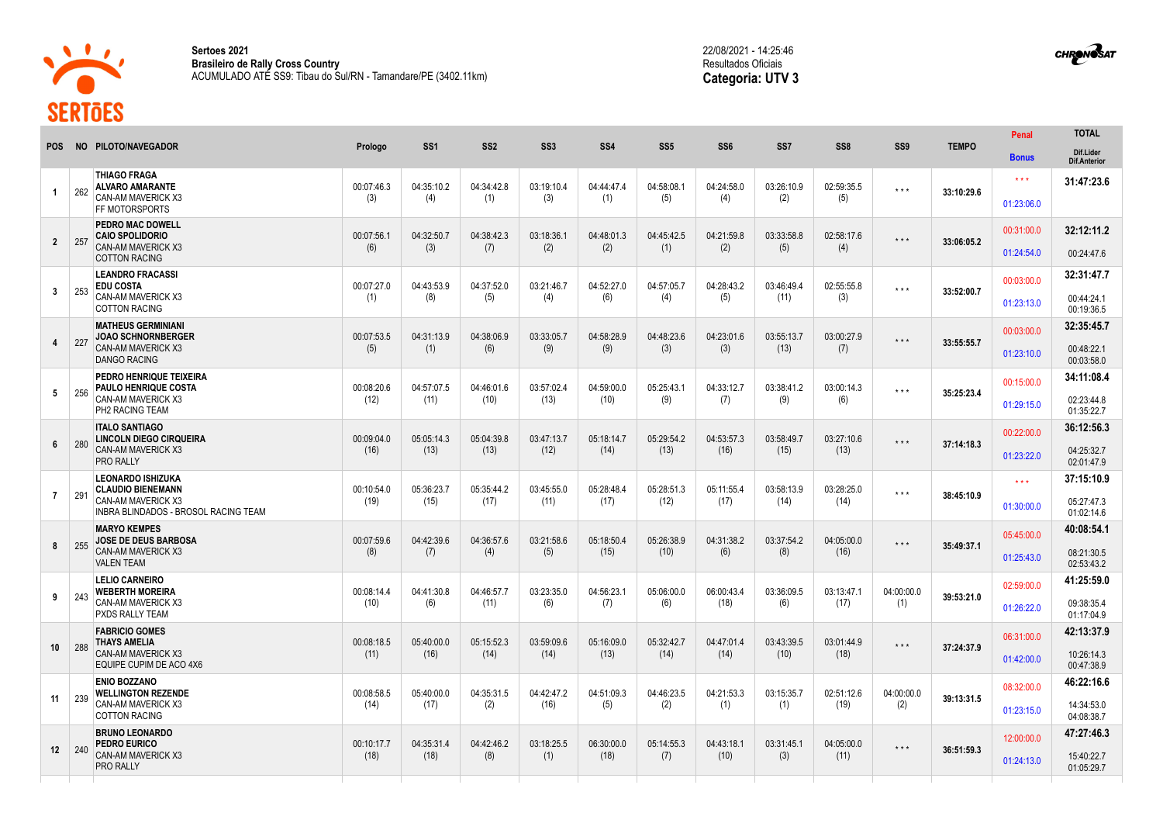

**Sertoes 2021 Brasileiro de Rally Cross Country** ACUMULADO ATÉ SS9: Tibau do Sul/RN - Tamandare/PE (3402.11km) 22/08/2021 - 14:25:46 Resultados Oficiais **Categoria: UTV 3**



|                 |     | NO PILOTO/NAVEGADOR                                                                            | Prologo            | SS <sub>1</sub>    | SS <sub>2</sub>    | SS <sub>3</sub>    | SS <sub>4</sub>    | SS <sub>5</sub>    | SS <sub>6</sub>    | SS <sub>7</sub>    | SS <sub>8</sub>    | SS <sub>9</sub>         | <b>TEMPO</b> | Penal                                 | <b>TOTAL</b>                           |
|-----------------|-----|------------------------------------------------------------------------------------------------|--------------------|--------------------|--------------------|--------------------|--------------------|--------------------|--------------------|--------------------|--------------------|-------------------------|--------------|---------------------------------------|----------------------------------------|
| <b>POS</b>      |     |                                                                                                |                    |                    |                    |                    |                    |                    |                    |                    |                    |                         |              | <b>Bonus</b>                          | Dif.Lider<br><b>Dif.Anterior</b>       |
| $\overline{1}$  | 262 | <b>THIAGO FRAGA</b><br><b>ALVARO AMARANTE</b><br>CAN-AM MAVERICK X3                            | 00:07:46.3<br>(3)  | 04:35:10.2<br>(4)  | 04:34:42.8<br>(1)  | 03:19:10.4<br>(3)  | 04:44:47.4<br>(1)  | 04:58:08.1<br>(5)  | 04:24:58.0<br>(4)  | 03:26:10.9<br>(2)  | 02:59:35.5<br>(5)  | $\star$ $\star$ $\star$ | 33:10:29.6   | $\star$ $\star$ $\star$<br>01:23:06.0 | 31:47:23.6                             |
| $\overline{2}$  | 257 | FF MOTORSPORTS<br>PEDRO MAC DOWELL<br><b>CAIO SPOLIDORIO</b><br>CAN-AM MAVERICK X3             | 00:07:56.1<br>(6)  | 04:32:50.7<br>(3)  | 04:38:42.3<br>(7)  | 03:18:36.1<br>(2)  | 04:48:01.3<br>(2)  | 04:45:42.5<br>(1)  | 04:21:59.8<br>(2)  | 03:33:58.8<br>(5)  | 02:58:17.6<br>(4)  | $\star$ $\star$ $\star$ | 33:06:05.2   | 00:31:00.0                            | 32:12:11.2                             |
|                 |     | <b>COTTON RACING</b>                                                                           |                    |                    |                    |                    |                    |                    |                    |                    |                    |                         |              | 01:24:54.0                            | 00:24:47.6                             |
| $\mathbf{3}$    | 253 | <b>LEANDRO FRACASSI</b><br><b>EDU COSTA</b><br>CAN-AM MAVERICK X3<br><b>COTTON RACING</b>      | 00:07:27.0<br>(1)  | 04:43:53.9<br>(8)  | 04:37:52.0<br>(5)  | 03:21:46.7<br>(4)  | 04:52:27.0<br>(6)  | 04:57:05.7<br>(4)  | 04:28:43.2<br>(5)  | 03:46:49.4<br>(11) | 02:55:55.8<br>(3)  | $\star \star \star$     | 33:52:00.7   | 00:03:00.0<br>01:23:13.0              | 32:31:47.7<br>00:44:24.1<br>00:19:36.5 |
|                 |     | <b>MATHEUS GERMINIANI</b>                                                                      |                    |                    |                    |                    |                    |                    |                    |                    |                    |                         |              | 00:03:00.0                            | 32:35:45.7                             |
| $\overline{4}$  | 227 | <b>JOAO SCHNORNBERGER</b><br>CAN-AM MAVERICK X3<br><b>DANGO RACING</b>                         | 00:07:53.5<br>(5)  | 04:31:13.9<br>(1)  | 04:38:06.9<br>(6)  | 03:33:05.7<br>(9)  | 04:58:28.9<br>(9)  | 04:48:23.6<br>(3)  | 04:23:01.6<br>(3)  | 03:55:13.7<br>(13) | 03:00:27.9<br>(7)  | $\star$ $\star$ $\star$ | 33:55:55.7   | 01:23:10.0                            | 00:48:22.1<br>00:03:58.0               |
| $5\overline{5}$ | 256 | PEDRO HENRIQUE TEIXEIRA<br>PAULO HENRIQUE COSTA<br>CAN-AM MAVERICK X3<br>PH2 RACING TEAM       | 00:08:20.6<br>(12) | 04:57:07.5<br>(11) | 04:46:01.6<br>(10) | 03:57:02.4<br>(13) | 04:59:00.0<br>(10) | 05:25:43.1<br>(9)  | 04:33:12.7<br>(7)  | 03:38:41.2<br>(9)  | 03:00:14.3<br>(6)  | $\star$ $\star$ $\star$ | 35:25:23.4   | 00:15:00.0                            | 34:11:08.4                             |
|                 |     |                                                                                                |                    |                    |                    |                    |                    |                    |                    |                    |                    |                         |              | 01:29:15.0                            | 02:23:44.8<br>01:35:22.7               |
|                 | 280 | <b>ITALO SANTIAGO</b><br>LINCOLN DIEGO CIRQUEIRA<br>CAN-AM MAVERICK X3<br>PRO RALLY            | 00:09:04.0<br>(16) | 05:05:14.3<br>(13) | 05:04:39.8<br>(13) | 03:47:13.7<br>(12) | 05:18:14.7<br>(14) | 05:29:54.2<br>(13) | 04:53:57.3<br>(16) | 03:58:49.7<br>(15) | 03:27:10.6<br>(13) | $\star$ $\star$ $\star$ | 37:14:18.3   | 00:22:00.0                            | 36:12:56.3                             |
| $6\phantom{.}6$ |     |                                                                                                |                    |                    |                    |                    |                    |                    |                    |                    |                    |                         |              | 01:23:22.0                            | 04:25:32.7<br>02:01:47.9               |
|                 |     | <b>LEONARDO ISHIZUKA</b><br><b>CLAUDIO BIENEMANN</b>                                           | 00:10:54.0         | 05:36:23.7         | 05:35:44.2         | 03:45:55.0         | 05:28:48.4         | 05:28:51.3         | 05:11:55.4         | 03:58:13.9         | 03:28:25.0         |                         | 38:45:10.9   | $\star \star \star$                   | 37:15:10.9                             |
| $\overline{7}$  | 291 | CAN-AM MAVERICK X3<br>INBRA BLINDADOS - BROSOL RACING TEAM                                     | (19)               | (15)               | (17)               | (11)               | (17)               | (12)               | (17)               | (14)               | (14)               | $\star \star \star$     |              | 01:30:00.0                            | 05:27:47.3<br>01:02:14.6               |
|                 | 255 | <b>MARYO KEMPES</b><br>JOSE DE DEUS BARBOSA<br>CAN-AM MAVERICK X3<br><b>VALEN TEAM</b>         | 00:07:59.6<br>(8)  | 04:42:39.6<br>(7)  | 04:36:57.6<br>(4)  | 03:21:58.6<br>(5)  | 05:18:50.4<br>(15) | 05:26:38.9<br>(10) | 04:31:38.2<br>(6)  | 03:37:54.2<br>(8)  | 04:05:00.0<br>(16) | $\star$ $\star$ $\star$ | 35:49:37.1   | 05:45:00.0                            | 40:08:54.1                             |
| 8               |     |                                                                                                |                    |                    |                    |                    |                    |                    |                    |                    |                    |                         |              | 01:25:43.0                            | 08:21:30.5<br>02:53:43.2               |
|                 |     | <b>LELIO CARNEIRO</b><br><b>WEBERTH MOREIRA</b><br>CAN-AM MAVERICK X3<br>PXDS RALLY TEAM       | 00:08:14.4<br>(10) | 04:41:30.8<br>(6)  | 04:46:57.7<br>(11) | 03:23:35.0<br>(6)  | 04:56:23.1<br>(7)  | 05:06:00.0<br>(6)  | 06:00:43.4<br>(18) | 03:36:09.5<br>(6)  | 03:13:47.1<br>(17) | 04:00:00.0<br>(1)       | 39:53:21.0   | 02:59:00.0                            | 41:25:59.0                             |
| 9               | 243 |                                                                                                |                    |                    |                    |                    |                    |                    |                    |                    |                    |                         |              | 01:26:22.0                            | 09:38:35.4<br>01:17:04.9               |
|                 |     | <b>FABRICIO GOMES</b><br><b>THAYS AMELIA</b><br>CAN-AM MAVERICK X3<br>EQUIPE CUPIM DE ACO 4X6  | 00:08:18.5<br>(11) | 05:40:00.0<br>(16) | 05:15:52.3<br>(14) | 03:59:09.6<br>(14) | 05:16:09.0<br>(13) | 05:32:42.7<br>(14) | 04:47:01.4<br>(14) | 03:43:39.5<br>(10) | 03:01:44.9<br>(18) | $\star$ $\star$ $\star$ | 37:24:37.9   | 06:31:00.0                            | 42:13:37.9                             |
| 10              | 288 |                                                                                                |                    |                    |                    |                    |                    |                    |                    |                    |                    |                         |              | 01:42:00.0                            | 10:26:14.3<br>00:47:38.9               |
|                 | 239 | <b>ENIO BOZZANO</b><br><b>WELLINGTON REZENDE</b><br>CAN-AM MAVERICK X3<br><b>COTTON RACING</b> | 00:08:58.5<br>(14) | 05:40:00.0<br>(17) | 04:35:31.5<br>(2)  | 04:42:47.2<br>(16) | 04:51:09.3<br>(5)  | 04:46:23.5<br>(2)  | 04:21:53.3<br>(1)  | 03:15:35.7<br>(1)  | 02:51:12.6<br>(19) | 04:00:00.0              |              | 08:32:00.0                            | 46:22:16.6                             |
| 11              |     |                                                                                                |                    |                    |                    |                    |                    |                    |                    |                    |                    | (2)                     | 39:13:31.5   | 01:23:15.0                            | 14:34:53.0<br>04:08:38.7               |
|                 | 240 | <b>BRUNO LEONARDO</b><br>PEDRO EURICO<br>CAN-AM MAVERICK X3<br>PRO RALLY                       | 00:10:17.7<br>(18) | 04:35:31.4<br>(18) | 04:42:46.2<br>(8)  | 03:18:25.5<br>(1)  | 06:30:00.0<br>(18) | 05:14:55.3<br>(7)  | 04:43:18.1<br>(10) | 03:31:45.1<br>(3)  | 04:05:00.0<br>(11) | $* * *$                 |              | 12:00:00.0                            | 47:27:46.3                             |
| 12              |     |                                                                                                |                    |                    |                    |                    |                    |                    |                    |                    |                    |                         | 36:51:59.3   | 01:24:13.0                            | 15:40:22.7<br>01:05:29.7               |